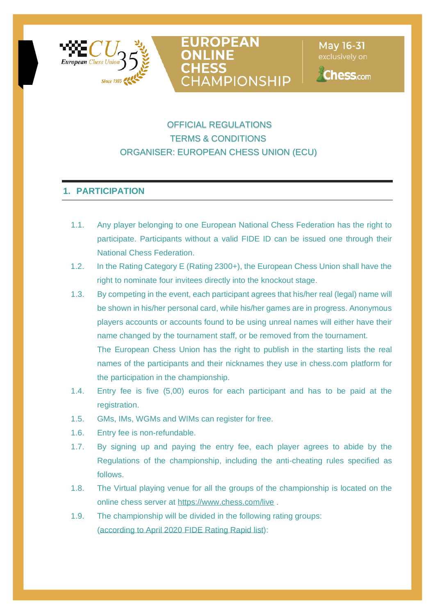



May 16-31

**Chess.com** 

# OFFICIAL REGULATIONS TERMS & CONDITIONS ORGANISER: EUROPEAN CHESS UNION (ECU)

# **1. PARTICIPATION**

- 1.1. Any player belonging to one European National Chess Federation has the right to participate. Participants without a valid FIDE ID can be issued one through their National Chess Federation.
- 1.2. In the Rating Category E (Rating 2300+), the European Chess Union shall have the right to nominate four invitees directly into the knockout stage.
- 1.3. By competing in the event, each participant agrees that his/her real (legal) name will be shown in his/her personal card, while his/her games are in progress. Anonymous players accounts or accounts found to be using unreal names will either have their name changed by the tournament staff, or be removed from the tournament. The European Chess Union has the right to publish in the starting lists the real names of the participants and their nicknames they use in chess.com platform for the participation in the championship.
- 1.4. Entry fee is five (5,00) euros for each participant and has to be paid at the registration.
- 1.5. GMs, IMs, WGMs and WIMs can register for free.
- 1.6. Entry fee is non-refundable.
- 1.7. By signing up and paying the entry fee, each player agrees to abide by the Regulations of the championship, including the anti-cheating rules specified as follows.
- 1.8. The Virtual playing venue for all the groups of the championship is located on the online chess server at <https://www.chess.com/live> .
- 1.9. The championship will be divided in the following rating groups: (according to April 2020 FIDE Rating Rapid list):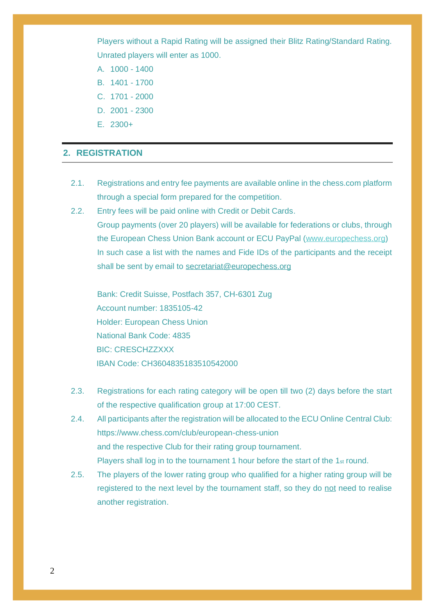Players without a Rapid Rating will be assigned their Blitz Rating/Standard Rating. Unrated players will enter as 1000.

- A. 1000 1400
- B. 1401 1700
- C. 1701 2000
- D. 2001 2300
- E. 2300+

## **2. REGISTRATION**

- 2.1. Registrations and entry fee payments are available online in the chess.com platform through a special form prepared for the competition.
- 2.2. Entry fees will be paid online with Credit or Debit Cards. Group payments (over 20 players) will be available for federations or clubs, through the European Chess Union Bank account or ECU PayPal [\(www.europechess.org\)](http://www.europechess.org/) In such case a list with the names and Fide IDs of the participants and the receipt shall be sent by email to [secretariat@europechess.org](mailto:secretariat@europechess.org)

Bank: Credit Suisse, Postfach 357, CH-6301 Zug Account number: 1835105-42 Holder: European Chess Union National Bank Code: 4835 BIC: CRESCHZZXXX IBAN Code: CH3604835183510542000

- 2.3. Registrations for each rating category will be open till two (2) days before the start of the respective qualification group at 17:00 CEST.
- 2.4. All participants after the registration will be allocated to the ECU Online Central Club: https://www.chess.com/club/european-chess-union and the respective Club for their rating group tournament. Players shall log in to the tournament 1 hour before the start of the 1st round.
- 2.5. The players of the lower rating group who qualified for a higher rating group will be registered to the next level by the tournament staff, so they do not need to realise another registration.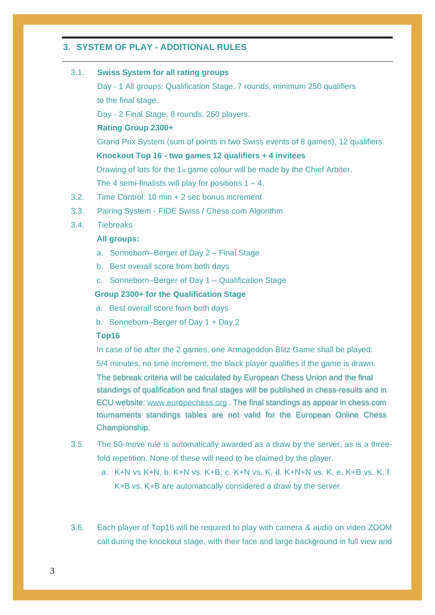## **3. SYSTEM OF PLAY - ADDITIONAL RULES**

|  | 3.1. | <b>Swiss System for all rating groups</b>                                              |
|--|------|----------------------------------------------------------------------------------------|
|  |      | Day - 1 All groups: Qualification Stage, 7 rounds, minimum 250 qualifiers              |
|  |      | to the final stage.                                                                    |
|  |      | Day - 2 Final Stage, 8 rounds, 250 players.                                            |
|  |      | <b>Rating Group 2300+</b>                                                              |
|  |      | Grand Prix System (sum of points in two Swiss events of 8 games), 12 qualifiers.       |
|  |      | Knockout Top 16 - two games 12 qualifiers + 4 invitees                                 |
|  |      | Drawing of lots for the 1 <sub>st</sub> game colour will be made by the Chief Arbiter. |
|  |      | The 4 semi-finalists will play for positions $1 - 4$ .                                 |
|  | 3.2. | Time Control: 10 min + 2 sec bonus increment                                           |
|  | 3.3. | Pairing System - FIDE Swiss / Chess.com Algorithm                                      |
|  | 3.4. | <b>Tiebreaks</b>                                                                       |
|  |      | <b>All groups:</b>                                                                     |
|  |      | a. Sonneborn-Berger of Day 2 - Final Stage                                             |
|  |      | b. Best overall score from both days                                                   |
|  |      | c. Sonneborn-Berger of Day 1 - Qualification Stage                                     |
|  |      | Group 2300+ for the Qualification Stage                                                |
|  |      | a. Best overall score from both days                                                   |
|  |      | b. Sonneborn-Berger of Day 1 + Day 2                                                   |
|  |      | Top16                                                                                  |
|  |      | In case of tie after the 2 games, one Armageddon Blitz Game shall be played:           |
|  |      | 5/4 minutes, no time increment, the black player qualifies if the game is drawn.       |
|  |      | The tiebreak criteria will be calculated by European Chess Union and the final         |
|  |      | standings of qualification and final stages will be published in chess-results and in  |
|  |      | ECU website: www.europechess.org. The final standings as appear in chess.com           |

tournaments standings tables are not valid for the European Online Chess Championship.

- 3.5. The 50-move rule is automatically awarded as a draw by the server, as is a threefold repetition. None of these will need to be claimed by the player.
	- a. K+N vs K+N, b. K+N vs. K+B, c. K+N vs. K, d. K+N+N vs. K, e. K+B vs. K, f. K+B vs. K+B are automatically considered a draw by the server.
- 3.6. Each player of Top16 will be required to play with camera & audio on video ZOOM call during the knockout stage, with their face and large background in full view and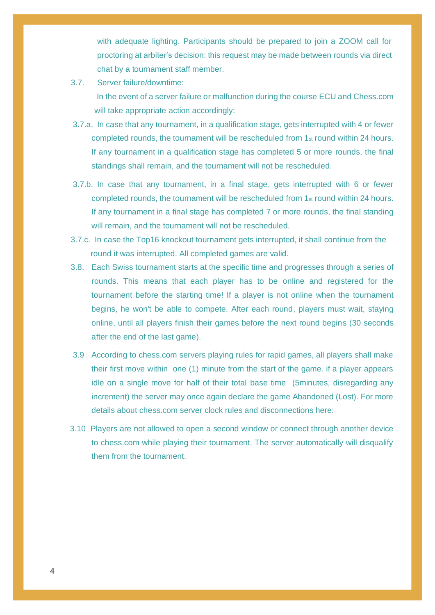with adequate lighting. Participants should be prepared to join a ZOOM call for proctoring at arbiter's decision: this request may be made between rounds via direct chat by a tournament staff member.

- 3.7. Server failure/downtime: In the event of a server failure or malfunction during the course ECU and Chess.com will take appropriate action accordingly:
- 3.7.a. In case that any tournament, in a qualification stage, gets interrupted with 4 or fewer completed rounds, the tournament will be rescheduled from 1st round within 24 hours. If any tournament in a qualification stage has completed 5 or more rounds, the final standings shall remain, and the tournament will not be rescheduled.
- 3.7.b. In case that any tournament, in a final stage, gets interrupted with 6 or fewer completed rounds, the tournament will be rescheduled from  $1_{st}$  round within 24 hours. If any tournament in a final stage has completed 7 or more rounds, the final standing will remain, and the tournament will not be rescheduled.
- 3.7.c. In case the Top16 knockout tournament gets interrupted, it shall continue from the round it was interrupted. All completed games are valid.
- 3.8. Each Swiss tournament starts at the specific time and progresses through a series of rounds. This means that each player has to be online and registered for the tournament before the starting time! If a player is not online when the tournament begins, he won't be able to compete. After each round, players must wait, staying online, until all players finish their games before the next round begins (30 seconds after the end of the last game).
- 3.9 According to chess.com servers playing rules for rapid games, all players shall make their first move within one (1) minute from the start of the game. if a player appears idle on a single move for half of their total base time (5minutes, disregarding any increment) the server may once again declare the game Abandoned (Lost). For more details about chess.com server clock rules and disconnections here:
- 3.10 Players are not allowed to open a second window or connect through another device to chess.com while playing their tournament. The server automatically will disqualify them from the tournament.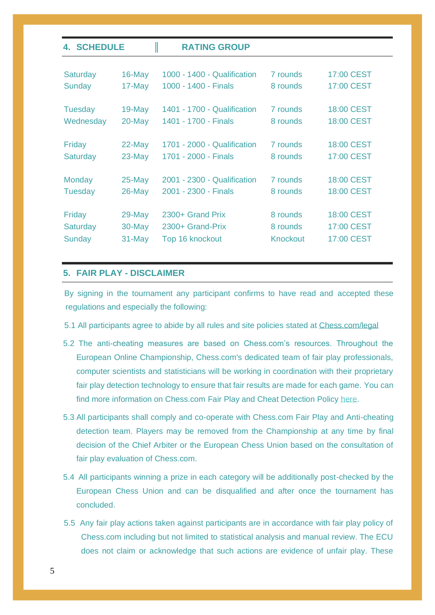| <b>4. SCHEDULE</b>        |                     | <b>RATING GROUP</b>                 |                             |                          |
|---------------------------|---------------------|-------------------------------------|-----------------------------|--------------------------|
| <b>Saturday</b>           | $16$ -May           | 1000 - 1400 - Qualification         | 7 rounds                    | 17:00 CEST               |
| <b>Sunday</b>             | 17-May              | 1000 - 1400 - Finals                | 8 rounds                    | 17:00 CEST               |
| <b>Tuesday</b>            | $19$ -May           | 1401 - 1700 - Qualification         | 7 rounds                    | 18:00 CEST               |
| Wednesday                 | 20-May              | 1401 - 1700 - Finals                | 8 rounds                    | 18:00 CEST               |
| Friday                    | $22$ -May           | 1701 - 2000 - Qualification         | 7 rounds                    | 18:00 CEST               |
| <b>Saturday</b>           | $23$ -May           | 1701 - 2000 - Finals                | 8 rounds                    | 17:00 CEST               |
| <b>Monday</b>             | $25$ -May           | 2001 - 2300 - Qualification         | 7 rounds                    | 18:00 CEST               |
| Tuesday                   | $26$ -May           | 2001 - 2300 - Finals                | 8 rounds                    | 18:00 CEST               |
| Friday                    | $29$ -May           | 2300+ Grand Prix                    | 8 rounds                    | <b>18:00 CEST</b>        |
| <b>Saturday</b><br>Sunday | $30$ -May<br>31-May | 2300+ Grand-Prix<br>Top 16 knockout | 8 rounds<br><b>Knockout</b> | 17:00 CEST<br>17:00 CEST |
|                           |                     |                                     |                             |                          |

## **5. FAIR PLAY - DISCLAIMER**

 By signing in the tournament any participant confirms to have read and accepted these regulations and especially the following:

- 5.1 All participants agree to abide by all rules and site policies stated at [Chess.com/legal](http://www.chess.com/legal)
- 5.2 The anti-cheating measures are based on Chess.com's resources. Throughout the European Online Championship, Chess.com's dedicated team of fair play professionals, computer scientists and statisticians will be working in coordination with their proprietary fair play detection technology to ensure that fair results are made for each game. You can find more information on Chess.com Fair Play and Cheat Detection Policy [here.](https://www.chess.com/article/view/chess-com-fair-play-and-cheat-detection)
- 5.3 All participants shall comply and co-operate with Chess.com Fair Play and Anti-cheating detection team. Players may be removed from the Championship at any time by final decision of the Chief Arbiter or the European Chess Union based on the consultation of fair play evaluation of Chess.com.
- 5.4 All participants winning a prize in each category will be additionally post-checked by the European Chess Union and can be disqualified and after once the tournament has concluded.
- 5.5 Any fair play actions taken against participants are in accordance with fair play policy of Chess.com including but not limited to statistical analysis and manual review. The ECU does not claim or acknowledge that such actions are evidence of unfair play. These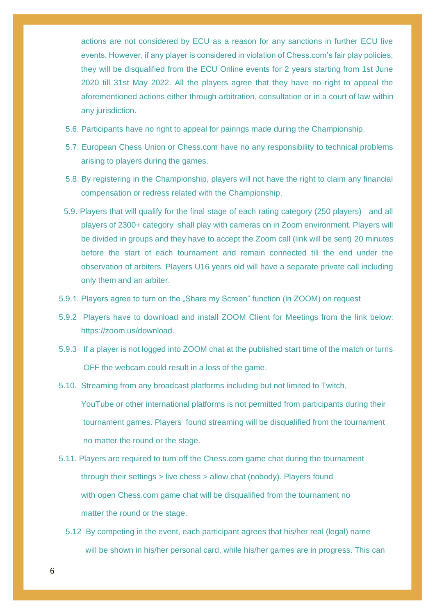actions are not considered by ECU as a reason for any sanctions in further ECU live events. However, if any player is considered in violation of Chess.com's fair play policies, they will be disqualified from the ECU Online events for 2 years starting from 1st June 2020 till 31st May 2022. All the players agree that they have no right to appeal the aforementioned actions either through arbitration, consultation or in a court of law within any jurisdiction.

- 5.6. Participants have no right to appeal for pairings made during the Championship.
- 5.7. European Chess Union or Chess.com have no any responsibility to technical problems arising to players during the games.
- 5.8. By registering in the Championship, players will not have the right to claim any financial compensation or redress related with the Championship.
- 5.9. Players that will qualify for the final stage of each rating category (250 players) and all players of 2300+ category shall play with cameras on in Zoom environment. Players will be divided in groups and they have to accept the Zoom call (link will be sent) 20 minutes before the start of each tournament and remain connected till the end under the observation of arbiters. Players U16 years old will have a separate private call including only them and an arbiter.
- 5.9.1. Players agree to turn on the "Share my Screen" function (in ZOOM) on request
- 5.9.2 Players have to download and install ZOOM Client for Meetings from the link below: https://zoom.us/download.
- 5.9.3 If a player is not logged into ZOOM chat at the published start time of the match or turns OFF the webcam could result in a loss of the game.
- 5.10. Streaming from any broadcast platforms including but not limited to Twitch,

YouTube or other international platforms is not permitted from participants during their tournament games. Players found streaming will be disqualified from the tournament no matter the round or the stage.

- 5.11. Players are required to turn off the Chess.com game chat during the tournament through their settings > live chess > allow chat (nobody). Players found with open Chess.com game chat will be disqualified from the tournament no matter the round or the stage.
	- 5.12 By competing in the event, each participant agrees that his/her real (legal) name will be shown in his/her personal card, while his/her games are in progress. This can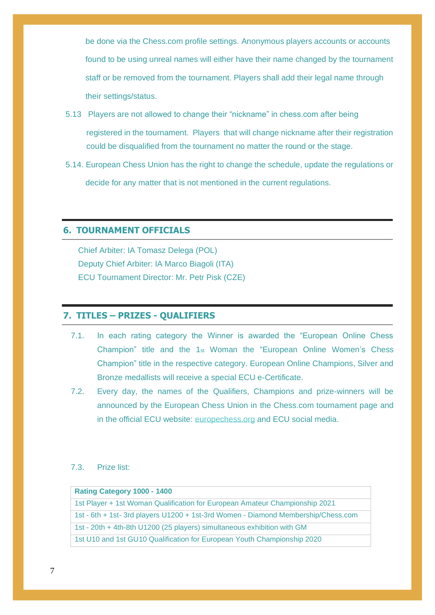be done via the Chess.com profile settings. Anonymous players accounts or accounts found to be using unreal names will either have their name changed by the tournament staff or be removed from the tournament. Players shall add their legal name through their settings/status.

- 5.13 Players are not allowed to change their "nickname" in chess.com after being registered in the tournament. Players that will change nickname after their registration could be disqualified from the tournament no matter the round or the stage.
- 5.14. European Chess Union has the right to change the schedule, update the regulations or decide for any matter that is not mentioned in the current regulations.

# **6. TOURNAMENT OFFICIALS**

Chief Arbiter: IA Tomasz Delega (POL) Deputy Chief Arbiter: IA Marco Biagoli (ITA) ECU Tournament Director: Mr. Petr Pisk (CZE)

## **7. TITLES – PRIZES - QUALIFIERS**

- 7.1. In each rating category the Winner is awarded the "European Online Chess Champion" title and the 1st Woman the "European Online Women's Chess Champion" title in the respective category. European Online Champions, Silver and Bronze medallists will receive a special ECU e-Certificate.
- 7.2. Every day, the names of the Qualifiers, Champions and prize-winners will be announced by the European Chess Union in the Chess.com tournament page and in the official ECU website: [europechess.org](https://www.europechess.org/) and ECU social media.

### 7.3. Prize list:

| Rating Category 1000 - 1400                                                          |
|--------------------------------------------------------------------------------------|
| 1st Player + 1st Woman Qualification for European Amateur Championship 2021          |
| 1st - 6th + 1st - 3rd players U1200 + 1st - 3rd Women - Diamond Membership/Chess.com |
| 1st - 20th + 4th-8th U1200 (25 players) simultaneous exhibition with GM              |
| 1st U10 and 1st GU10 Qualification for European Youth Championship 2020              |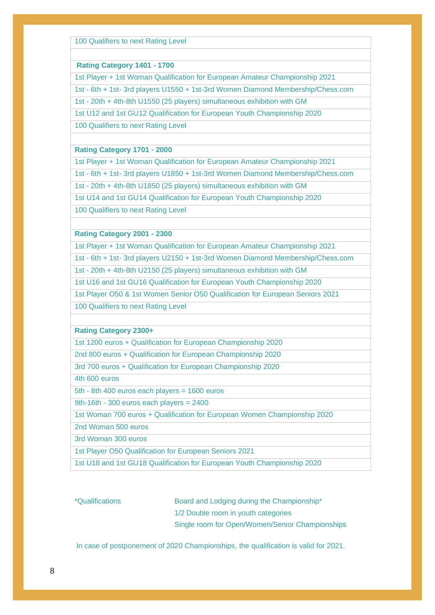100 Qualifiers to next Rating Level

#### **Rating Category 1401 - 1700**

1st Player + 1st Woman Qualification for European Amateur Championship 2021

1st - 6th + 1st- 3rd players U1550 + 1st-3rd Women Diamond Membership/Chess.com

1st - 20th + 4th-8th U1550 (25 players) simultaneous exhibition with GM

1st U12 and 1st GU12 Qualification for European Youth Championship 2020

100 Qualifiers to next Rating Level

#### **Rating Category 1701 - 2000**

1st Player + 1st Woman Qualification for European Amateur Championship 2021

1st - 6th + 1st- 3rd players U1850 + 1st-3rd Women Diamond Membership/Chess.com

1st - 20th + 4th-8th U1850 (25 players) simultaneous exhibition with GM

1st U14 and 1st GU14 Qualification for European Youth Championship 2020

100 Qualifiers to next Rating Level

#### **Rating Category 2001 - 2300**

1st Player + 1st Woman Qualification for European Amateur Championship 2021

1st - 6th + 1st- 3rd players U2150 + 1st-3rd Women Diamond Membership/Chess.com

1st - 20th + 4th-8th U2150 (25 players) simultaneous exhibition with GM

1st U16 and 1st GU16 Qualification for European Youth Championship 2020

1st Player O50 & 1st Women Senior O50 Qualification for European Seniors 2021

100 Qualifiers to next Rating Level

#### **Rating Category 2300+**

1st 1200 euros + Qualification for European Championship 2020

2nd 800 euros + Qualification for European Championship 2020

3rd 700 euros + Qualification for European Championship 2020

4th 600 euros

5th - 8th 400 euros each players = 1600 euros

9th-16th - 300 euros each players = 2400

1st Woman 700 euros + Qualification for European Women Championship 2020

2nd Woman 500 euros

3rd Woman 300 euros

1st Player O50 Qualification for European Seniors 2021

1st U18 and 1st GU18 Qualification for European Youth Championship 2020

\*Qualifications Board and Lodging during the Championship\* 1/2 Double room in youth categories Single room for Open/Women/Senior Championships

In case of postponement of 2020 Championships, the qualification is valid for 2021.